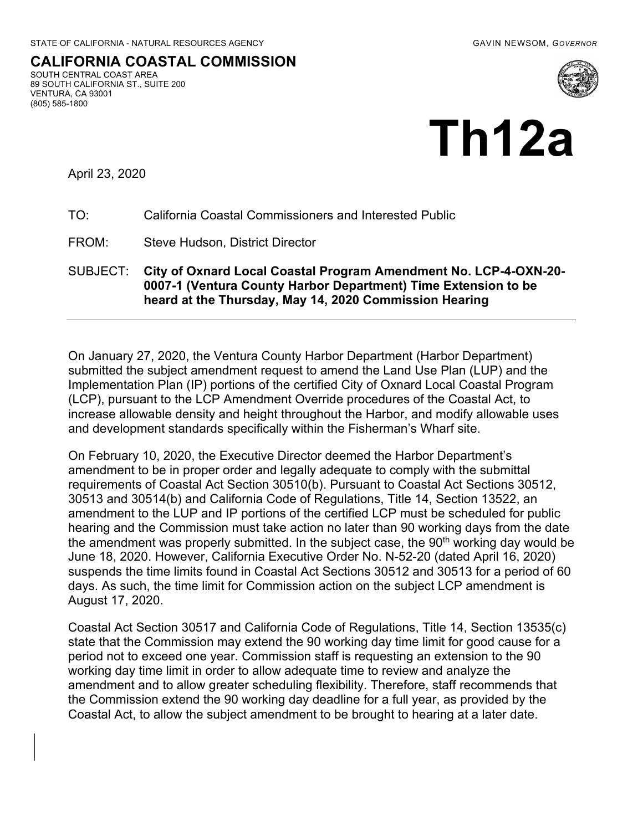SOUTH CENTRAL COAST AREA 89 SOUTH CALIFORNIA ST., SUITE 200 **CALIFORNIA COASTAL COMMISSION**  VENTURA, CA 93001 (805) 585-1800



April 23, 2020

#### TO: California Coastal Commissioners and Interested Public

FROM: Steve Hudson, District Director

#### SUBJECT: **City of Oxnard Local Coastal Program Amendment No. LCP-4-OXN-20- 0007-1 (Ventura County Harbor Department) Time Extension to be heard at the Thursday, May 14, 2020 Commission Hearing**

 submitted the subject amendment request to amend the Land Use Plan (LUP) and the Implementation Plan (IP) portions of the certified City of Oxnard Local Coastal Program (LCP), pursuant to the LCP Amendment Override procedures of the Coastal Act, to increase allowable density and height throughout the Harbor, and modify allowable uses and development standards specifically within the Fisherman's Wharf site. On January 27, 2020, the Ventura County Harbor Department (Harbor Department)

 On February 10, 2020, the Executive Director deemed the Harbor Department's amendment to be in proper order and legally adequate to comply with the submittal requirements of Coastal Act Section 30510(b). Pursuant to Coastal Act Sections 30512, 30513 and 30514(b) and California Code of Regulations, Title 14, Section 13522, an amendment to the LUP and IP portions of the certified LCP must be scheduled for public hearing and the Commission must take action no later than 90 working days from the date the amendment was properly submitted. In the subject case, the 90<sup>th</sup> working day would be June 18, 2020. However, California Executive Order No. N-52-20 (dated April 16, 2020) suspends the time limits found in Coastal Act Sections 30512 and 30513 for a period of 60 days. As such, the time limit for Commission action on the subject LCP amendment is August 17, 2020.

 Coastal Act Section 30517 and California Code of Regulations, Title 14, Section 13535(c) state that the Commission may extend the 90 working day time limit for good cause for a period not to exceed one year. Commission staff is requesting an extension to the 90 working day time limit in order to allow adequate time to review and analyze the amendment and to allow greater scheduling flexibility. Therefore, staff recommends that the Commission extend the 90 working day deadline for a full year, as provided by the Coastal Act, to allow the subject amendment to be brought to hearing at a later date.